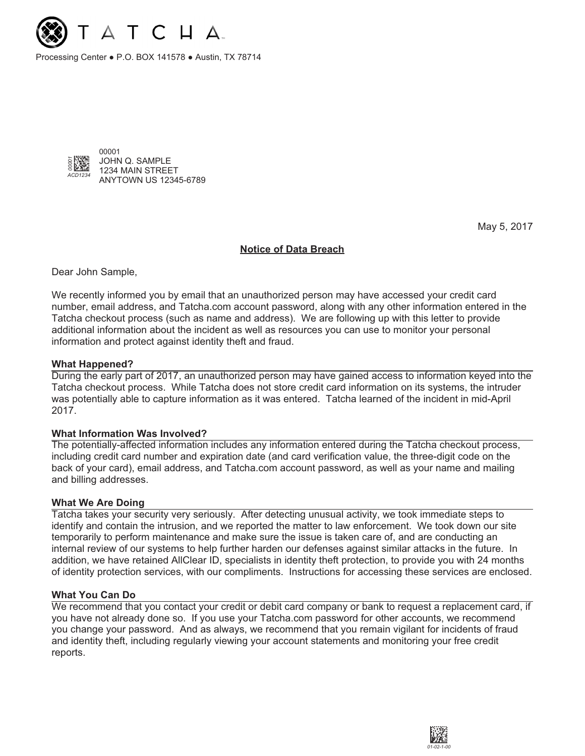

Processing Center ● P.O. BOX 141578 ● Austin, TX 78714



May 5, 2017

### **Notice of Data Breach**

Dear John Sample,

We recently informed you by email that an unauthorized person may have accessed your credit card number, email address, and Tatcha.com account password, along with any other information entered in the Tatcha checkout process (such as name and address). We are following up with this letter to provide additional information about the incident as well as resources you can use to monitor your personal information and protect against identity theft and fraud.

### **What Happened?**

During the early part of 2017, an unauthorized person may have gained access to information keyed into the Tatcha checkout process. While Tatcha does not store credit card information on its systems, the intruder was potentially able to capture information as it was entered. Tatcha learned of the incident in mid-April 2017.

### **What Information Was Involved?**

The potentially-affected information includes any information entered during the Tatcha checkout process, including credit card number and expiration date (and card verification value, the three-digit code on the back of your card), email address, and Tatcha.com account password, as well as your name and mailing and billing addresses.

### **What We Are Doing**

Tatcha takes your security very seriously. After detecting unusual activity, we took immediate steps to identify and contain the intrusion, and we reported the matter to law enforcement. We took down our site temporarily to perform maintenance and make sure the issue is taken care of, and are conducting an internal review of our systems to help further harden our defenses against similar attacks in the future. In addition, we have retained AllClear ID, specialists in identity theft protection, to provide you with 24 months of identity protection services, with our compliments. Instructions for accessing these services are enclosed.

### **What You Can Do**

We recommend that you contact your credit or debit card company or bank to request a replacement card, if you have not already done so. If you use your Tatcha.com password for other accounts, we recommend you change your password. And as always, we recommend that you remain vigilant for incidents of fraud and identity theft, including regularly viewing your account statements and monitoring your free credit reports.

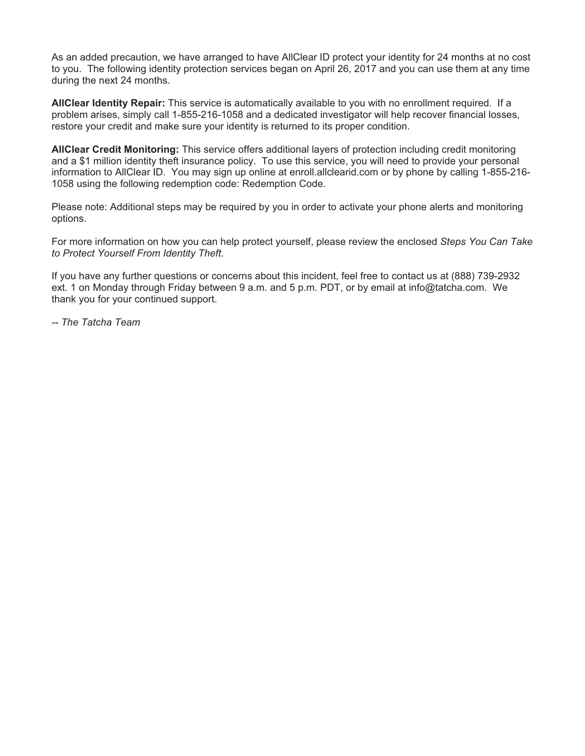As an added precaution, we have arranged to have AllClear ID protect your identity for 24 months at no cost to you. The following identity protection services began on April 26, 2017 and you can use them at any time during the next 24 months.

**AllClear Identity Repair:** This service is automatically available to you with no enrollment required. If a problem arises, simply call 1-855-216-1058 and a dedicated investigator will help recover financial losses, restore your credit and make sure your identity is returned to its proper condition.

**AllClear Credit Monitoring:** This service offers additional layers of protection including credit monitoring and a \$1 million identity theft insurance policy. To use this service, you will need to provide your personal information to AllClear ID. You may sign up online at enroll.allclearid.com or by phone by calling 1-855-216- 1058 using the following redemption code: Redemption Code.

Please note: Additional steps may be required by you in order to activate your phone alerts and monitoring options.

For more information on how you can help protect yourself, please review the enclosed Steps You Can Take to Protect Yourself From Identity Theft.

If you have any further questions or concerns about this incident, feel free to contact us at (888) 739-2932 ext. 1 on Monday through Friday between 9 a.m. and 5 p.m. PDT, or by email at info@tatcha.com. We thank you for your continued support.

-- The Tatcha Team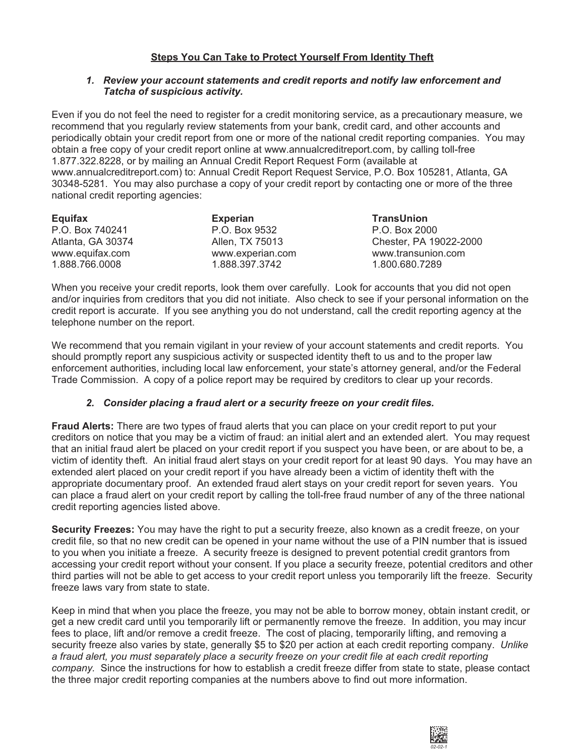# **Steps You Can Take to Protect Yourself From Identity Theft**

### **1. Review your account statements and credit reports and notify law enforcement and Tatcha of suspicious activity.**

Even if you do not feel the need to register for a credit monitoring service, as a precautionary measure, we recommend that you regularly review statements from your bank, credit card, and other accounts and periodically obtain your credit report from one or more of the national credit reporting companies. You may obtain a free copy of your credit report online at www.annualcreditreport.com, by calling toll-free 1.877.322.8228, or by mailing an Annual Credit Report Request Form (available at www.annualcreditreport.com) to: Annual Credit Report Request Service, P.O. Box 105281, Atlanta, GA 30348-5281. You may also purchase a copy of your credit report by contacting one or more of the three national credit reporting agencies:

| Equifax           | <b>Experian</b>  | <b>TransUnion</b>      |
|-------------------|------------------|------------------------|
| P.O. Box 740241   | P.O. Box 9532    | P.O. Box 2000          |
| Atlanta, GA 30374 | Allen, TX 75013  | Chester, PA 19022-2000 |
| www.equifax.com   | www.experian.com | www.transunion.com     |
| 1.888.766.0008    | 1.888.397.3742   | 1.800.680.7289         |

When you receive your credit reports, look them over carefully. Look for accounts that you did not open and/or inquiries from creditors that you did not initiate. Also check to see if your personal information on the credit report is accurate. If you see anything you do not understand, call the credit reporting agency at the telephone number on the report.

We recommend that you remain vigilant in your review of your account statements and credit reports. You should promptly report any suspicious activity or suspected identity theft to us and to the proper law enforcement authorities, including local law enforcement, your state's attorney general, and/or the Federal Trade Commission. A copy of a police report may be required by creditors to clear up your records.

# **2. Consider placing a fraud alert or a security freeze on your credit files.**

**Fraud Alerts:** There are two types of fraud alerts that you can place on your credit report to put your creditors on notice that you may be a victim of fraud: an initial alert and an extended alert. You may request that an initial fraud alert be placed on your credit report if you suspect you have been, or are about to be, a victim of identity theft. An initial fraud alert stays on your credit report for at least 90 days. You may have an extended alert placed on your credit report if you have already been a victim of identity theft with the appropriate documentary proof. An extended fraud alert stays on your credit report for seven years. You can place a fraud alert on your credit report by calling the toll-free fraud number of any of the three national credit reporting agencies listed above.

**Security Freezes:** You may have the right to put a security freeze, also known as a credit freeze, on your credit file, so that no new credit can be opened in your name without the use of a PIN number that is issued to you when you initiate a freeze. A security freeze is designed to prevent potential credit grantors from accessing your credit report without your consent. If you place a security freeze, potential creditors and other third parties will not be able to get access to your credit report unless you temporarily lift the freeze. Security freeze laws vary from state to state.

Keep in mind that when you place the freeze, you may not be able to borrow money, obtain instant credit, or get a new credit card until you temporarily lift or permanently remove the freeze. In addition, you may incur fees to place, lift and/or remove a credit freeze. The cost of placing, temporarily lifting, and removing a security freeze also varies by state, generally \$5 to \$20 per action at each credit reporting company. Unlike a fraud alert, you must separately place a security freeze on your credit file at each credit reporting company. Since the instructions for how to establish a credit freeze differ from state to state, please contact the three major credit reporting companies at the numbers above to find out more information.